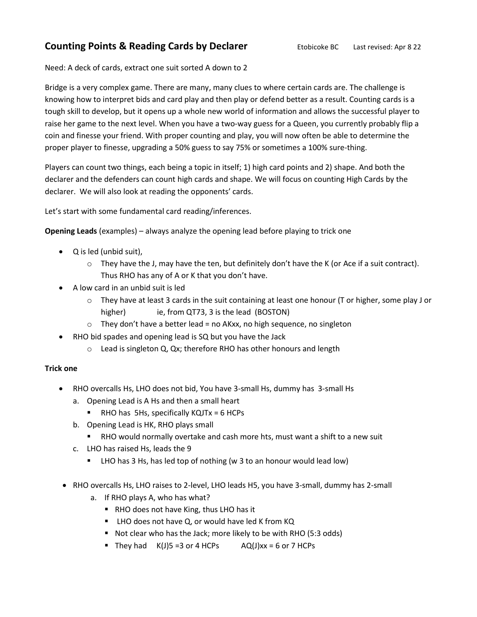# **Counting Points & Reading Cards by Declarer** Etobicoke BC Last revised: Apr 8 22

Need: A deck of cards, extract one suit sorted A down to 2

Bridge is a very complex game. There are many, many clues to where certain cards are. The challenge is knowing how to interpret bids and card play and then play or defend better as a result. Counting cards is a tough skill to develop, but it opens up a whole new world of information and allows the successful player to raise her game to the next level. When you have a two-way guess for a Queen, you currently probably flip a coin and finesse your friend. With proper counting and play, you will now often be able to determine the proper player to finesse, upgrading a 50% guess to say 75% or sometimes a 100% sure-thing.

Players can count two things, each being a topic in itself; 1) high card points and 2) shape. And both the declarer and the defenders can count high cards and shape. We will focus on counting High Cards by the declarer. We will also look at reading the opponents' cards.

Let's start with some fundamental card reading/inferences.

**Opening Leads** (examples) – always analyze the opening lead before playing to trick one

- Q is led (unbid suit),
	- $\circ$  They have the J, may have the ten, but definitely don't have the K (or Ace if a suit contract). Thus RHO has any of A or K that you don't have.
- A low card in an unbid suit is led
	- o They have at least 3 cards in the suit containing at least one honour (T or higher, some play J or higher) ie, from QT73, 3 is the lead (BOSTON)
	- $\circ$  They don't have a better lead = no AKxx, no high sequence, no singleton
- RHO bid spades and opening lead is SQ but you have the Jack
	- o Lead is singleton Q, Qx; therefore RHO has other honours and length

# **Trick one**

- RHO overcalls Hs, LHO does not bid, You have 3-small Hs, dummy has 3-small Hs
	- a. Opening Lead is A Hs and then a small heart
		- **RHO** has 5Hs, specifically  $KQJTx = 6$  HCPs
	- b. Opening Lead is HK, RHO plays small
		- RHO would normally overtake and cash more hts, must want a shift to a new suit
	- c. LHO has raised Hs, leads the 9
		- **E** LHO has 3 Hs, has led top of nothing (w 3 to an honour would lead low)
- RHO overcalls Hs, LHO raises to 2-level, LHO leads H5, you have 3-small, dummy has 2-small
	- a. If RHO plays A, who has what?
		- RHO does not have King, thus LHO has it
		- LHO does not have Q, or would have led K from KQ
		- Not clear who has the Jack; more likely to be with RHO (5:3 odds)
		- They had  $K(J)$ 5 =3 or 4 HCPs  $AQ(J)$ xx = 6 or 7 HCPs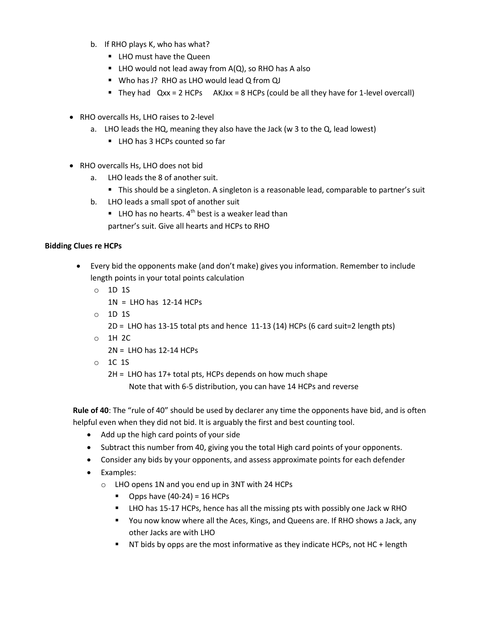- b. If RHO plays K, who has what?
	- LHO must have the Queen
	- $\blacksquare$  LHO would not lead away from A(Q), so RHO has A also
	- Who has J? RHO as LHO would lead Q from QJ
	- They had  $Qxx = 2$  HCPs  $AKJxx = 8$  HCPs (could be all they have for 1-level overcall)
- RHO overcalls Hs, LHO raises to 2-level
	- a. LHO leads the HQ, meaning they also have the Jack (w 3 to the Q, lead lowest)
		- LHO has 3 HCPs counted so far
- RHO overcalls Hs, LHO does not bid
	- a. LHO leads the 8 of another suit.
		- This should be a singleton. A singleton is a reasonable lead, comparable to partner's suit
	- b. LHO leads a small spot of another suit
		- **EXECUTE:** LHO has no hearts.  $4^{th}$  best is a weaker lead than
		- partner's suit. Give all hearts and HCPs to RHO

# **Bidding Clues re HCPs**

- Every bid the opponents make (and don't make) gives you information. Remember to include length points in your total points calculation
	- o 1D 1S
		- $1N = LHO$  has  $12-14$  HCPs
	- $O$  1D 1S

 $2D = LHO$  has 13-15 total pts and hence 11-13 (14) HCPs (6 card suit=2 length pts)

o 1H 2C

2N = LHO has 12-14 HCPs

o 1C 1S

2H = LHO has 17+ total pts, HCPs depends on how much shape

Note that with 6-5 distribution, you can have 14 HCPs and reverse

**Rule of 40**: The "rule of 40" should be used by declarer any time the opponents have bid, and is often helpful even when they did not bid. It is arguably the first and best counting tool.

- Add up the high card points of your side
- Subtract this number from 40, giving you the total High card points of your opponents.
- Consider any bids by your opponents, and assess approximate points for each defender
- Examples:
	- o LHO opens 1N and you end up in 3NT with 24 HCPs
		- Opps have  $(40-24) = 16$  HCPs
		- LHO has 15-17 HCPs, hence has all the missing pts with possibly one Jack w RHO
		- You now know where all the Aces, Kings, and Queens are. If RHO shows a Jack, any other Jacks are with LHO
		- NT bids by opps are the most informative as they indicate HCPs, not HC + length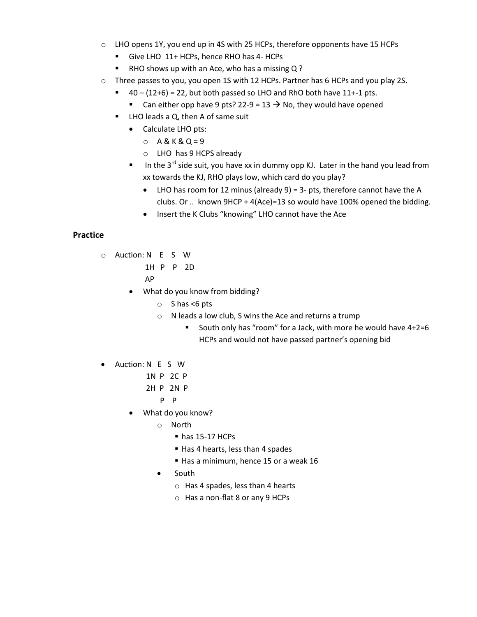- $\circ$  LHO opens 1Y, you end up in 4S with 25 HCPs, therefore opponents have 15 HCPs
	- Give LHO 11+ HCPs, hence RHO has 4- HCPs
	- RHO shows up with an Ace, who has a missing Q ?
- o Three passes to you, you open 1S with 12 HCPs. Partner has 6 HCPs and you play 2S.
	- $\blacksquare$  40 (12+6) = 22, but both passed so LHO and RhO both have 11+-1 pts.
		- Can either opp have 9 pts? 22-9 = 13  $\rightarrow$  No, they would have opened
	- LHO leads a Q, then A of same suit
		- Calculate LHO pts:
			- $O$  A & K & Q = 9
			- o LHO has 9 HCPS already
		- In the 3<sup>rd</sup> side suit, you have xx in dummy opp KJ. Later in the hand you lead from xx towards the KJ, RHO plays low, which card do you play?
			- LHO has room for 12 minus (already  $9$ ) = 3- pts, therefore cannot have the A clubs. Or .. known 9HCP + 4(Ace)=13 so would have 100% opened the bidding.
			- Insert the K Clubs "knowing" LHO cannot have the Ace

#### **Practice**

- o Auction: N E S W
	- 1H P P 2D
		- AP
	- What do you know from bidding?
		- $\circ$  S has <6 pts
		- o N leads a low club, S wins the Ace and returns a trump
			- South only has "room" for a Jack, with more he would have 4+2=6 HCPs and would not have passed partner's opening bid
- Auction: N E S W
	- 1N P 2C P
	- 2H P 2N P
		- P P
	- What do you know?
		- o North
			- has 15-17 HCPs
			- Has 4 hearts, less than 4 spades
			- Has a minimum, hence 15 or a weak 16
		- South
			- o Has 4 spades, less than 4 hearts
			- o Has a non-flat 8 or any 9 HCPs